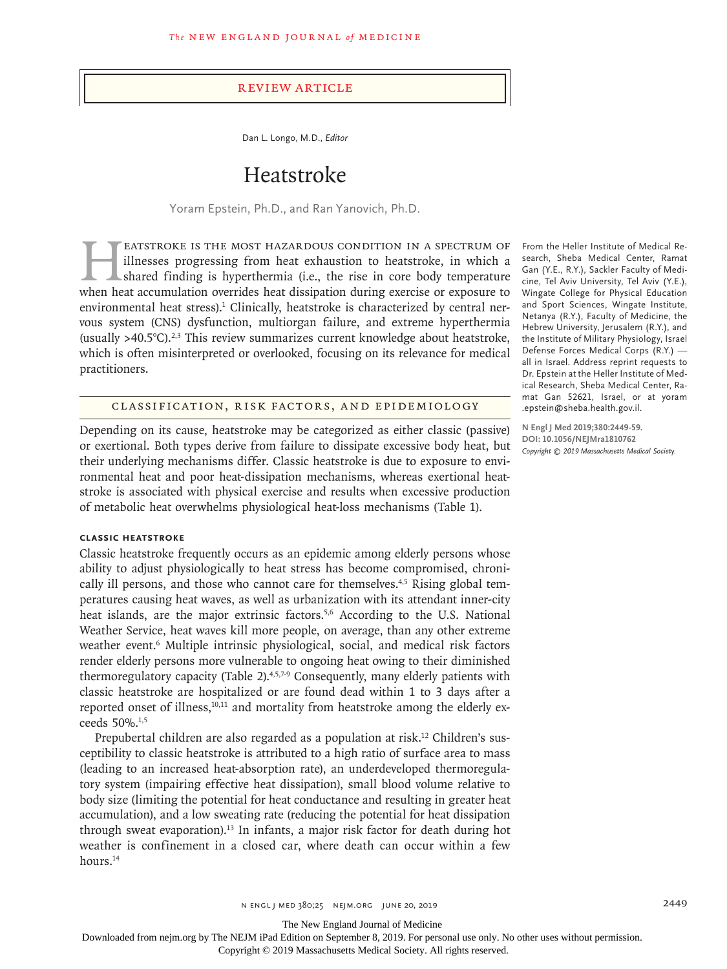#### Review Article

Dan L. Longo, M.D., *Editor*

# Heatstroke

Yoram Epstein, Ph.D., and Ran Yanovich, Ph.D.

EATSTROKE IS THE MOST HAZARDOUS CONDITION IN A SPECTRUM OF illnesses progressing from heat exhaustion to heatstroke, in which a shared finding is hyperthermia (i.e., the rise in core body temperature when heat accumulation illnesses progressing from heat exhaustion to heatstroke, in which a shared finding is hyperthermia (i.e., the rise in core body temperature when heat accumulation overrides heat dissipation during exercise or exposure to environmental heat stress).<sup>1</sup> Clinically, heatstroke is characterized by central nervous system (CNS) dysfunction, multiorgan failure, and extreme hyperthermia (usually  $>40.5^{\circ}$ C).<sup>2,3</sup> This review summarizes current knowledge about heatstroke, which is often misinterpreted or overlooked, focusing on its relevance for medical practitioners.

Classification, Risk Factors, and Epidemiology

Depending on its cause, heatstroke may be categorized as either classic (passive) or exertional. Both types derive from failure to dissipate excessive body heat, but their underlying mechanisms differ. Classic heatstroke is due to exposure to environmental heat and poor heat-dissipation mechanisms, whereas exertional heatstroke is associated with physical exercise and results when excessive production of metabolic heat overwhelms physiological heat-loss mechanisms (Table 1).

# **Classic Heatstroke**

Classic heatstroke frequently occurs as an epidemic among elderly persons whose ability to adjust physiologically to heat stress has become compromised, chronically ill persons, and those who cannot care for themselves.<sup>4,5</sup> Rising global temperatures causing heat waves, as well as urbanization with its attendant inner-city heat islands, are the major extrinsic factors.<sup>5,6</sup> According to the U.S. National Weather Service, heat waves kill more people, on average, than any other extreme weather event.<sup>6</sup> Multiple intrinsic physiological, social, and medical risk factors render elderly persons more vulnerable to ongoing heat owing to their diminished thermoregulatory capacity (Table 2).<sup>4,5,7-9</sup> Consequently, many elderly patients with classic heatstroke are hospitalized or are found dead within 1 to 3 days after a reported onset of illness, $10,11$  and mortality from heatstroke among the elderly exceeds 50%.1,5

Prepubertal children are also regarded as a population at risk.12 Children's susceptibility to classic heatstroke is attributed to a high ratio of surface area to mass (leading to an increased heat-absorption rate), an underdeveloped thermoregulatory system (impairing effective heat dissipation), small blood volume relative to body size (limiting the potential for heat conductance and resulting in greater heat accumulation), and a low sweating rate (reducing the potential for heat dissipation through sweat evaporation).<sup>13</sup> In infants, a major risk factor for death during hot weather is confinement in a closed car, where death can occur within a few hours.<sup>14</sup>

From the Heller Institute of Medical Research, Sheba Medical Center, Ramat Gan (Y.E., R.Y.), Sackler Faculty of Medicine, Tel Aviv University, Tel Aviv (Y.E.), Wingate College for Physical Education and Sport Sciences, Wingate Institute, Netanya (R.Y.), Faculty of Medicine, the Hebrew University, Jerusalem (R.Y.), and the Institute of Military Physiology, Israel Defense Forces Medical Corps (R.Y.) all in Israel. Address reprint requests to Dr. Epstein at the Heller Institute of Medical Research, Sheba Medical Center, Ramat Gan 52621, Israel, or at yoram .epstein@sheba.health.gov.il.

**N Engl J Med 2019;380:2449-59. DOI: 10.1056/NEJMra1810762** *Copyright © 2019 Massachusetts Medical Society.*

The New England Journal of Medicine

Downloaded from nejm.org by The NEJM iPad Edition on September 8, 2019. For personal use only. No other uses without permission.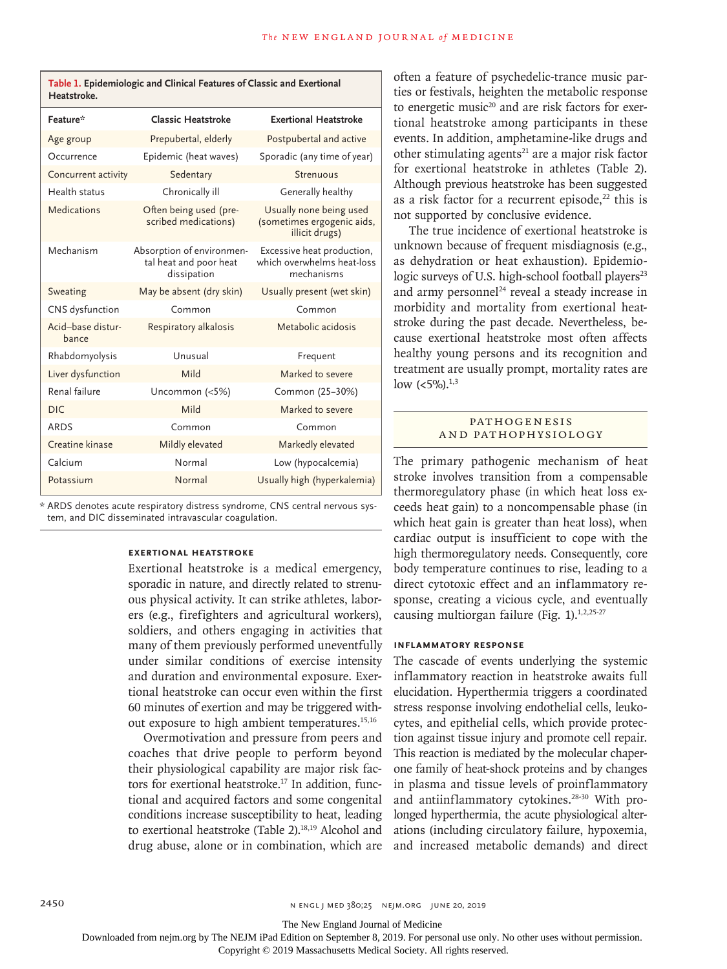| Feature*                   | Classic Heatstroke                                                 | <b>Exertional Heatstroke</b>                                            |
|----------------------------|--------------------------------------------------------------------|-------------------------------------------------------------------------|
| Age group                  | Prepubertal, elderly                                               | Postpubertal and active                                                 |
| Occurrence                 | Epidemic (heat waves)                                              | Sporadic (any time of year)                                             |
| Concurrent activity        | Sedentary                                                          | Strenuous                                                               |
| Health status              | Chronically ill                                                    | Generally healthy                                                       |
| Medications                | Often being used (pre-<br>scribed medications)                     | Usually none being used<br>(sometimes ergogenic aids,<br>illicit drugs) |
| Mechanism                  | Absorption of environmen-<br>tal heat and poor heat<br>dissipation | Excessive heat production,<br>which overwhelms heat-loss<br>mechanisms  |
| Sweating                   | May be absent (dry skin)                                           | Usually present (wet skin)                                              |
| CNS dysfunction            | Common                                                             | Common                                                                  |
| Acid-base distur-<br>bance | Respiratory alkalosis                                              | Metabolic acidosis                                                      |
| Rhabdomyolysis             | Unusual                                                            | Frequent                                                                |
| Liver dysfunction          | Mild                                                               | Marked to severe                                                        |
| Renal failure              | Uncommon (<5%)                                                     | Common (25-30%)                                                         |
| DIC.                       | Mild                                                               | Marked to severe                                                        |
| <b>ARDS</b>                | Common                                                             | Common                                                                  |
| Creatine kinase            | Mildly elevated                                                    | Markedly elevated                                                       |
| Calcium                    | Normal                                                             | Low (hypocalcemia)                                                      |
| Potassium                  | Normal                                                             | Usually high (hyperkalemia)                                             |

**Table 1. Epidemiologic and Clinical Features of Classic and Exertional** 

**Heatstroke.**

\* ARDS denotes acute respiratory distress syndrome, CNS central nervous system, and DIC disseminated intravascular coagulation.

### **Exertional Heatstroke**

Exertional heatstroke is a medical emergency, sporadic in nature, and directly related to strenuous physical activity. It can strike athletes, laborers (e.g., firefighters and agricultural workers), soldiers, and others engaging in activities that many of them previously performed uneventfully under similar conditions of exercise intensity and duration and environmental exposure. Exertional heatstroke can occur even within the first 60 minutes of exertion and may be triggered without exposure to high ambient temperatures.<sup>15,16</sup>

Overmotivation and pressure from peers and coaches that drive people to perform beyond their physiological capability are major risk factors for exertional heatstroke.<sup>17</sup> In addition, functional and acquired factors and some congenital conditions increase susceptibility to heat, leading to exertional heatstroke (Table 2).<sup>18,19</sup> Alcohol and drug abuse, alone or in combination, which are often a feature of psychedelic-trance music parties or festivals, heighten the metabolic response to energetic music<sup>20</sup> and are risk factors for exertional heatstroke among participants in these events. In addition, amphetamine-like drugs and other stimulating agents $21$  are a major risk factor for exertional heatstroke in athletes (Table 2). Although previous heatstroke has been suggested as a risk factor for a recurrent episode, $22$  this is not supported by conclusive evidence.

The true incidence of exertional heatstroke is unknown because of frequent misdiagnosis (e.g., as dehydration or heat exhaustion). Epidemiologic surveys of U.S. high-school football players<sup>23</sup> and army personnel<sup>24</sup> reveal a steady increase in morbidity and mortality from exertional heatstroke during the past decade. Nevertheless, because exertional heatstroke most often affects healthy young persons and its recognition and treatment are usually prompt, mortality rates are low  $(<5\%)$ <sup>1,3</sup>

#### **PATHOGENESIS** and Pathophysiology

The primary pathogenic mechanism of heat stroke involves transition from a compensable thermoregulatory phase (in which heat loss exceeds heat gain) to a noncompensable phase (in which heat gain is greater than heat loss), when cardiac output is insufficient to cope with the high thermoregulatory needs. Consequently, core body temperature continues to rise, leading to a direct cytotoxic effect and an inflammatory response, creating a vicious cycle, and eventually causing multiorgan failure (Fig.  $1$ ).<sup>1,2,25-27</sup>

#### **Inflammatory Response**

The cascade of events underlying the systemic inflammatory reaction in heatstroke awaits full elucidation. Hyperthermia triggers a coordinated stress response involving endothelial cells, leukocytes, and epithelial cells, which provide protection against tissue injury and promote cell repair. This reaction is mediated by the molecular chaperone family of heat-shock proteins and by changes in plasma and tissue levels of proinflammatory and antiinflammatory cytokines.<sup>28-30</sup> With prolonged hyperthermia, the acute physiological alterations (including circulatory failure, hypoxemia, and increased metabolic demands) and direct

The New England Journal of Medicine

Downloaded from nejm.org by The NEJM iPad Edition on September 8, 2019. For personal use only. No other uses without permission.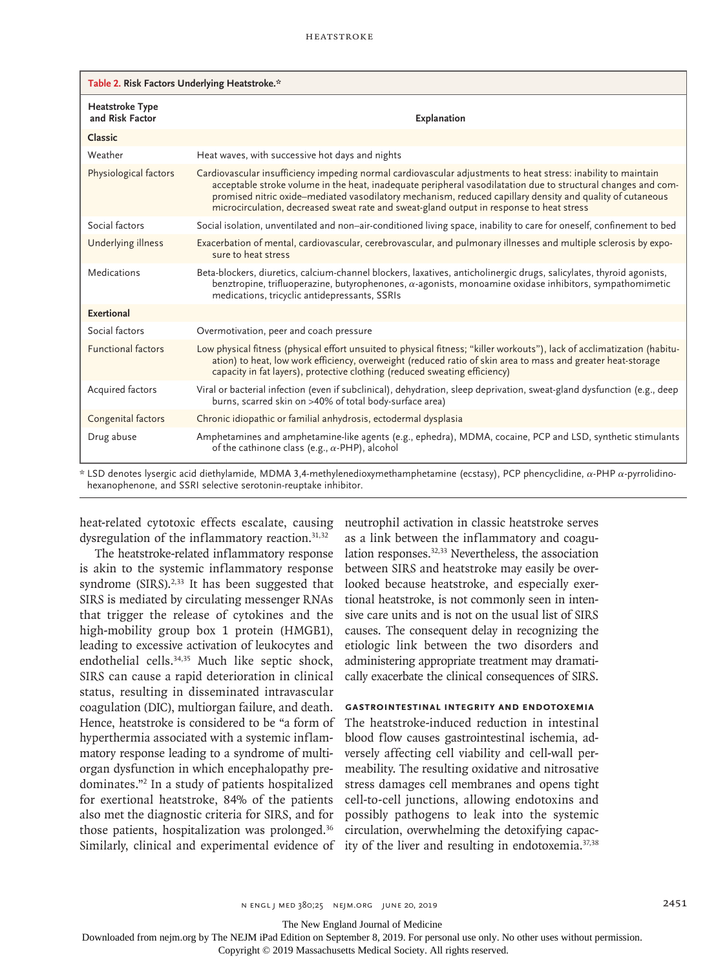| Table 2. Risk Factors Underlying Heatstroke.* |                                                                                                                                                                                                                                                                                                                                                                                                                                         |  |
|-----------------------------------------------|-----------------------------------------------------------------------------------------------------------------------------------------------------------------------------------------------------------------------------------------------------------------------------------------------------------------------------------------------------------------------------------------------------------------------------------------|--|
| Heatstroke Type<br>and Risk Factor            | Explanation                                                                                                                                                                                                                                                                                                                                                                                                                             |  |
| Classic                                       |                                                                                                                                                                                                                                                                                                                                                                                                                                         |  |
| Weather                                       | Heat waves, with successive hot days and nights                                                                                                                                                                                                                                                                                                                                                                                         |  |
| Physiological factors                         | Cardiovascular insufficiency impeding normal cardiovascular adjustments to heat stress: inability to maintain<br>acceptable stroke volume in the heat, inadequate peripheral vasodilatation due to structural changes and com-<br>promised nitric oxide-mediated vasodilatory mechanism, reduced capillary density and quality of cutaneous<br>microcirculation, decreased sweat rate and sweat-gland output in response to heat stress |  |
| Social factors                                | Social isolation, unventilated and non-air-conditioned living space, inability to care for oneself, confinement to bed                                                                                                                                                                                                                                                                                                                  |  |
| Underlying illness                            | Exacerbation of mental, cardiovascular, cerebrovascular, and pulmonary illnesses and multiple sclerosis by expo-<br>sure to heat stress                                                                                                                                                                                                                                                                                                 |  |
| Medications                                   | Beta-blockers, diuretics, calcium-channel blockers, laxatives, anticholinergic drugs, salicylates, thyroid agonists,<br>benztropine, trifluoperazine, butyrophenones, $\alpha$ -agonists, monoamine oxidase inhibitors, sympathomimetic<br>medications, tricyclic antidepressants, SSRIs                                                                                                                                                |  |
| <b>Exertional</b>                             |                                                                                                                                                                                                                                                                                                                                                                                                                                         |  |
| Social factors                                | Overmotivation, peer and coach pressure                                                                                                                                                                                                                                                                                                                                                                                                 |  |
| <b>Functional factors</b>                     | Low physical fitness (physical effort unsuited to physical fitness; "killer workouts"), lack of acclimatization (habitu-<br>ation) to heat, low work efficiency, overweight (reduced ratio of skin area to mass and greater heat-storage<br>capacity in fat layers), protective clothing (reduced sweating efficiency)                                                                                                                  |  |
| Acquired factors                              | Viral or bacterial infection (even if subclinical), dehydration, sleep deprivation, sweat-gland dysfunction (e.g., deep<br>burns, scarred skin on >40% of total body-surface area)                                                                                                                                                                                                                                                      |  |
| Congenital factors                            | Chronic idiopathic or familial anhydrosis, ectodermal dysplasia                                                                                                                                                                                                                                                                                                                                                                         |  |
| Drug abuse                                    | Amphetamines and amphetamine-like agents (e.g., ephedra), MDMA, cocaine, PCP and LSD, synthetic stimulants<br>of the cathinone class (e.g., $\alpha$ -PHP), alcohol                                                                                                                                                                                                                                                                     |  |

 $*$  LSD denotes lysergic acid diethylamide, MDMA 3,4-methylenedioxymethamphetamine (ecstasy), PCP phencyclidine,  $\alpha$ -PHP  $\alpha$ -pyrrolidinohexanophenone, and SSRI selective serotonin-reuptake inhibitor.

heat-related cytotoxic effects escalate, causing dysregulation of the inflammatory reaction.<sup>31,32</sup>

The heatstroke-related inflammatory response is akin to the systemic inflammatory response syndrome  $(SIRS).^{2,33}$  It has been suggested that SIRS is mediated by circulating messenger RNAs that trigger the release of cytokines and the high-mobility group box 1 protein (HMGB1), leading to excessive activation of leukocytes and endothelial cells.34,35 Much like septic shock, SIRS can cause a rapid deterioration in clinical status, resulting in disseminated intravascular coagulation (DIC), multiorgan failure, and death. Hence, heatstroke is considered to be "a form of hyperthermia associated with a systemic inflammatory response leading to a syndrome of multiorgan dysfunction in which encephalopathy predominates."2 In a study of patients hospitalized for exertional heatstroke, 84% of the patients also met the diagnostic criteria for SIRS, and for those patients, hospitalization was prolonged.<sup>36</sup> Similarly, clinical and experimental evidence of ity of the liver and resulting in endotoxemia.<sup>37,38</sup>

neutrophil activation in classic heatstroke serves as a link between the inflammatory and coagulation responses.<sup>32,33</sup> Nevertheless, the association between SIRS and heatstroke may easily be overlooked because heatstroke, and especially exertional heatstroke, is not commonly seen in intensive care units and is not on the usual list of SIRS causes. The consequent delay in recognizing the etiologic link between the two disorders and administering appropriate treatment may dramatically exacerbate the clinical consequences of SIRS.

# **Gastrointestinal Integrity and Endotoxemia**

The heatstroke-induced reduction in intestinal blood flow causes gastrointestinal ischemia, adversely affecting cell viability and cell-wall permeability. The resulting oxidative and nitrosative stress damages cell membranes and opens tight cell-to-cell junctions, allowing endotoxins and possibly pathogens to leak into the systemic circulation, overwhelming the detoxifying capac-

n engl j med 380;25 nejm.org June 20, 2019 2451

The New England Journal of Medicine

Downloaded from nejm.org by The NEJM iPad Edition on September 8, 2019. For personal use only. No other uses without permission.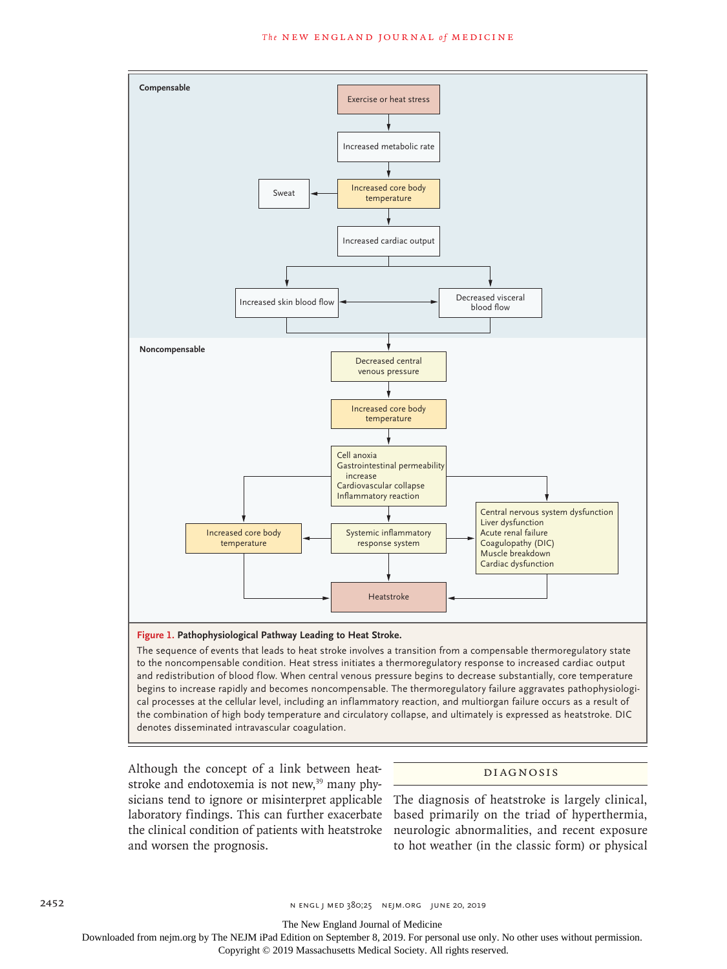

The sequence of events that leads to heat stroke involves a transition from a compensable thermoregulatory state to the noncompensable condition. Heat stress initiates a thermoregulatory response to increased cardiac output and redistribution of blood flow. When central venous pressure begins to decrease substantially, core temperature begins to increase rapidly and becomes noncompensable. The thermoregulatory failure aggravates pathophysiological processes at the cellular level, including an inflammatory reaction, and multiorgan failure occurs as a result of the combination of high body temperature and circulatory collapse, and ultimately is expressed as heatstroke. DIC denotes disseminated intravascular coagulation.

Although the concept of a link between heatstroke and endotoxemia is not new,<sup>39</sup> many physicians tend to ignore or misinterpret applicable laboratory findings. This can further exacerbate and worsen the prognosis.

# Diagnosis

the clinical condition of patients with heatstroke neurologic abnormalities, and recent exposure The diagnosis of heatstroke is largely clinical, based primarily on the triad of hyperthermia, to hot weather (in the classic form) or physical

2452 n engl j med 380;25 nejm.org June 20, 2019

The New England Journal of Medicine

Downloaded from nejm.org by The NEJM iPad Edition on September 8, 2019. For personal use only. No other uses without permission.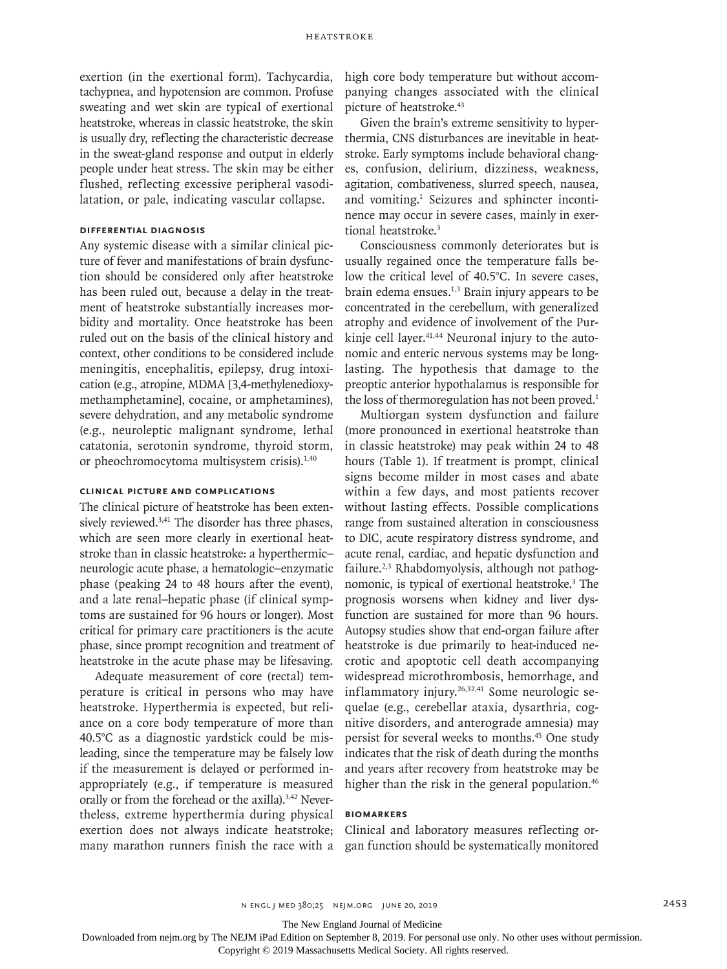exertion (in the exertional form). Tachycardia, tachypnea, and hypotension are common. Profuse sweating and wet skin are typical of exertional heatstroke, whereas in classic heatstroke, the skin is usually dry, reflecting the characteristic decrease in the sweat-gland response and output in elderly people under heat stress. The skin may be either flushed, reflecting excessive peripheral vasodilatation, or pale, indicating vascular collapse.

# **Differential Diagnosis**

Any systemic disease with a similar clinical picture of fever and manifestations of brain dysfunction should be considered only after heatstroke has been ruled out, because a delay in the treatment of heatstroke substantially increases morbidity and mortality. Once heatstroke has been ruled out on the basis of the clinical history and context, other conditions to be considered include meningitis, encephalitis, epilepsy, drug intoxication (e.g., atropine, MDMA [3,4-methylenedioxymethamphetamine], cocaine, or amphetamines), severe dehydration, and any metabolic syndrome (e.g., neuroleptic malignant syndrome, lethal catatonia, serotonin syndrome, thyroid storm, or pheochromocytoma multisystem crisis).<sup>1,40</sup>

# **Clinical Picture and Complications**

The clinical picture of heatstroke has been extensively reviewed.<sup>3,41</sup> The disorder has three phases, which are seen more clearly in exertional heatstroke than in classic heatstroke: a hyperthermic– neurologic acute phase, a hematologic–enzymatic phase (peaking 24 to 48 hours after the event), and a late renal–hepatic phase (if clinical symptoms are sustained for 96 hours or longer). Most critical for primary care practitioners is the acute phase, since prompt recognition and treatment of heatstroke in the acute phase may be lifesaving.

Adequate measurement of core (rectal) temperature is critical in persons who may have heatstroke. Hyperthermia is expected, but reliance on a core body temperature of more than 40.5°C as a diagnostic yardstick could be misleading, since the temperature may be falsely low if the measurement is delayed or performed inappropriately (e.g., if temperature is measured orally or from the forehead or the axilla).<sup>3,42</sup> Nevertheless, extreme hyperthermia during physical exertion does not always indicate heatstroke; many marathon runners finish the race with a

high core body temperature but without accompanying changes associated with the clinical picture of heatstroke.43

Given the brain's extreme sensitivity to hyperthermia, CNS disturbances are inevitable in heatstroke. Early symptoms include behavioral changes, confusion, delirium, dizziness, weakness, agitation, combativeness, slurred speech, nausea, and vomiting.<sup>1</sup> Seizures and sphincter incontinence may occur in severe cases, mainly in exertional heatstroke.<sup>3</sup>

Consciousness commonly deteriorates but is usually regained once the temperature falls below the critical level of 40.5°C. In severe cases, brain edema ensues.1,3 Brain injury appears to be concentrated in the cerebellum, with generalized atrophy and evidence of involvement of the Purkinje cell layer.<sup>41,44</sup> Neuronal injury to the autonomic and enteric nervous systems may be longlasting. The hypothesis that damage to the preoptic anterior hypothalamus is responsible for the loss of thermoregulation has not been proved.<sup>1</sup>

Multiorgan system dysfunction and failure (more pronounced in exertional heatstroke than in classic heatstroke) may peak within 24 to 48 hours (Table 1). If treatment is prompt, clinical signs become milder in most cases and abate within a few days, and most patients recover without lasting effects. Possible complications range from sustained alteration in consciousness to DIC, acute respiratory distress syndrome, and acute renal, cardiac, and hepatic dysfunction and failure.2,3 Rhabdomyolysis, although not pathognomonic, is typical of exertional heatstroke.3 The prognosis worsens when kidney and liver dysfunction are sustained for more than 96 hours. Autopsy studies show that end-organ failure after heatstroke is due primarily to heat-induced necrotic and apoptotic cell death accompanying widespread microthrombosis, hemorrhage, and inflammatory injury.<sup>26,32,41</sup> Some neurologic sequelae (e.g., cerebellar ataxia, dysarthria, cognitive disorders, and anterograde amnesia) may persist for several weeks to months.45 One study indicates that the risk of death during the months and years after recovery from heatstroke may be higher than the risk in the general population.<sup>46</sup>

# **Biomarkers**

Clinical and laboratory measures reflecting organ function should be systematically monitored

The New England Journal of Medicine

Downloaded from nejm.org by The NEJM iPad Edition on September 8, 2019. For personal use only. No other uses without permission.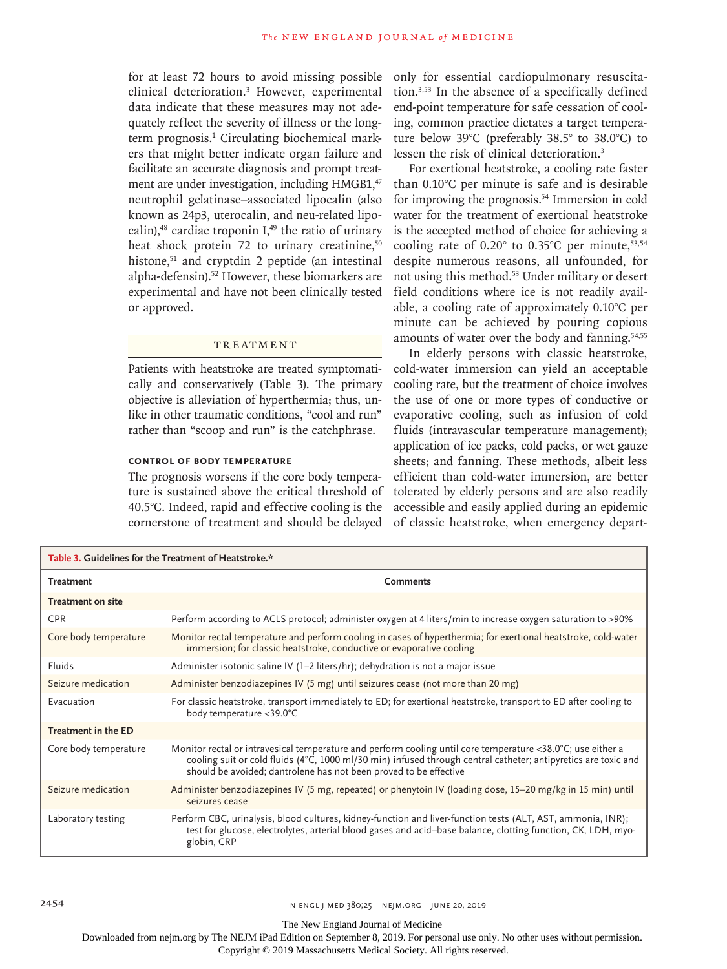for at least 72 hours to avoid missing possible clinical deterioration.3 However, experimental data indicate that these measures may not adequately reflect the severity of illness or the longterm prognosis.<sup>1</sup> Circulating biochemical markers that might better indicate organ failure and facilitate an accurate diagnosis and prompt treatment are under investigation, including HMGB1,<sup>47</sup> neutrophil gelatinase–associated lipocalin (also known as 24p3, uterocalin, and neu-related lipocalin), $48$  cardiac troponin I, $49$  the ratio of urinary heat shock protein 72 to urinary creatinine,<sup>50</sup> histone,<sup>51</sup> and cryptdin 2 peptide (an intestinal alpha-defensin).<sup>52</sup> However, these biomarkers are experimental and have not been clinically tested or approved.

# **TREATMENT**

Patients with heatstroke are treated symptomatically and conservatively (Table 3). The primary objective is alleviation of hyperthermia; thus, unlike in other traumatic conditions, "cool and run" rather than "scoop and run" is the catchphrase.

# **Control of Body Temperature**

The prognosis worsens if the core body temperature is sustained above the critical threshold of 40.5°C. Indeed, rapid and effective cooling is the cornerstone of treatment and should be delayed

only for essential cardiopulmonary resuscitation.3,53 In the absence of a specifically defined end-point temperature for safe cessation of cooling, common practice dictates a target temperature below 39°C (preferably 38.5° to 38.0°C) to lessen the risk of clinical deterioration.3

For exertional heatstroke, a cooling rate faster than 0.10°C per minute is safe and is desirable for improving the prognosis.54 Immersion in cold water for the treatment of exertional heatstroke is the accepted method of choice for achieving a cooling rate of  $0.20^{\circ}$  to  $0.35^{\circ}$ C per minute,  $53,54$ despite numerous reasons, all unfounded, for not using this method.53 Under military or desert field conditions where ice is not readily available, a cooling rate of approximately 0.10°C per minute can be achieved by pouring copious amounts of water over the body and fanning.<sup>54,55</sup>

In elderly persons with classic heatstroke, cold-water immersion can yield an acceptable cooling rate, but the treatment of choice involves the use of one or more types of conductive or evaporative cooling, such as infusion of cold fluids (intravascular temperature management); application of ice packs, cold packs, or wet gauze sheets; and fanning. These methods, albeit less efficient than cold-water immersion, are better tolerated by elderly persons and are also readily accessible and easily applied during an epidemic of classic heatstroke, when emergency depart-

| Table 3. Guidelines for the Treatment of Heatstroke.* |                                                                                                                                                                                                                                                                                                    |  |
|-------------------------------------------------------|----------------------------------------------------------------------------------------------------------------------------------------------------------------------------------------------------------------------------------------------------------------------------------------------------|--|
| <b>Treatment</b>                                      | <b>Comments</b>                                                                                                                                                                                                                                                                                    |  |
| <b>Treatment on site</b>                              |                                                                                                                                                                                                                                                                                                    |  |
| <b>CPR</b>                                            | Perform according to ACLS protocol; administer oxygen at 4 liters/min to increase oxygen saturation to >90%                                                                                                                                                                                        |  |
| Core body temperature                                 | Monitor rectal temperature and perform cooling in cases of hyperthermia; for exertional heatstroke, cold-water<br>immersion; for classic heatstroke, conductive or evaporative cooling                                                                                                             |  |
| Fluids                                                | Administer isotonic saline IV (1-2 liters/hr); dehydration is not a major issue                                                                                                                                                                                                                    |  |
| Seizure medication                                    | Administer benzodiazepines IV (5 mg) until seizures cease (not more than 20 mg)                                                                                                                                                                                                                    |  |
| Evacuation                                            | For classic heatstroke, transport immediately to ED; for exertional heatstroke, transport to ED after cooling to<br>body temperature <39.0°C                                                                                                                                                       |  |
| Treatment in the ED                                   |                                                                                                                                                                                                                                                                                                    |  |
| Core body temperature                                 | Monitor rectal or intravesical temperature and perform cooling until core temperature <38.0°C; use either a<br>cooling suit or cold fluids (4°C, 1000 ml/30 min) infused through central catheter; antipyretics are toxic and<br>should be avoided; dantrolene has not been proved to be effective |  |
| Seizure medication                                    | Administer benzodiazepines IV (5 mg, repeated) or phenytoin IV (loading dose, 15-20 mg/kg in 15 min) until<br>seizures cease                                                                                                                                                                       |  |
| Laboratory testing                                    | Perform CBC, urinalysis, blood cultures, kidney-function and liver-function tests (ALT, AST, ammonia, INR);<br>test for glucose, electrolytes, arterial blood gases and acid-base balance, clotting function, CK, LDH, myo-<br>globin, CRP                                                         |  |

The New England Journal of Medicine

Downloaded from nejm.org by The NEJM iPad Edition on September 8, 2019. For personal use only. No other uses without permission.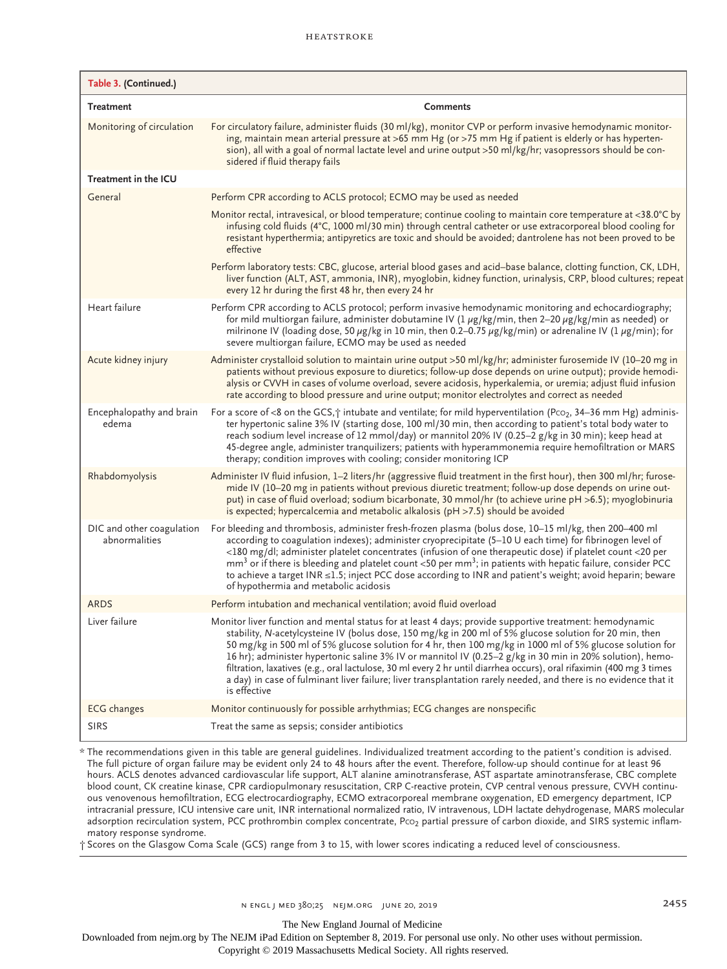| Table 3. (Continued.)                      |                                                                                                                                                                                                                                                                                                                                                                                                                                                                                                                                                                                                                                                                                                        |
|--------------------------------------------|--------------------------------------------------------------------------------------------------------------------------------------------------------------------------------------------------------------------------------------------------------------------------------------------------------------------------------------------------------------------------------------------------------------------------------------------------------------------------------------------------------------------------------------------------------------------------------------------------------------------------------------------------------------------------------------------------------|
| <b>Treatment</b>                           | <b>Comments</b>                                                                                                                                                                                                                                                                                                                                                                                                                                                                                                                                                                                                                                                                                        |
| Monitoring of circulation                  | For circulatory failure, administer fluids (30 ml/kg), monitor CVP or perform invasive hemodynamic monitor-<br>ing, maintain mean arterial pressure at >65 mm Hg (or >75 mm Hg if patient is elderly or has hyperten-<br>sion), all with a goal of normal lactate level and urine output >50 ml/kg/hr; vasopressors should be con-<br>sidered if fluid therapy fails                                                                                                                                                                                                                                                                                                                                   |
| Treatment in the ICU                       |                                                                                                                                                                                                                                                                                                                                                                                                                                                                                                                                                                                                                                                                                                        |
| General                                    | Perform CPR according to ACLS protocol; ECMO may be used as needed                                                                                                                                                                                                                                                                                                                                                                                                                                                                                                                                                                                                                                     |
|                                            | Monitor rectal, intravesical, or blood temperature; continue cooling to maintain core temperature at <38.0°C by<br>infusing cold fluids (4°C, 1000 ml/30 min) through central catheter or use extracorporeal blood cooling for<br>resistant hyperthermia; antipyretics are toxic and should be avoided; dantrolene has not been proved to be<br>effective                                                                                                                                                                                                                                                                                                                                              |
|                                            | Perform laboratory tests: CBC, glucose, arterial blood gases and acid-base balance, clotting function, CK, LDH,<br>liver function (ALT, AST, ammonia, INR), myoglobin, kidney function, urinalysis, CRP, blood cultures; repeat<br>every 12 hr during the first 48 hr, then every 24 hr                                                                                                                                                                                                                                                                                                                                                                                                                |
| Heart failure                              | Perform CPR according to ACLS protocol; perform invasive hemodynamic monitoring and echocardiography;<br>for mild multiorgan failure, administer dobutamine IV (1 $\mu$ g/kg/min, then 2–20 $\mu$ g/kg/min as needed) or<br>milrinone IV (loading dose, 50 $\mu$ g/kg in 10 min, then 0.2–0.75 $\mu$ g/kg/min) or adrenaline IV (1 $\mu$ g/min); for<br>severe multiorgan failure, ECMO may be used as needed                                                                                                                                                                                                                                                                                          |
| Acute kidney injury                        | Administer crystalloid solution to maintain urine output >50 ml/kg/hr; administer furosemide IV (10–20 mg in<br>patients without previous exposure to diuretics; follow-up dose depends on urine output); provide hemodi-<br>alysis or CVVH in cases of volume overload, severe acidosis, hyperkalemia, or uremia; adjust fluid infusion<br>rate according to blood pressure and urine output; monitor electrolytes and correct as needed                                                                                                                                                                                                                                                              |
| Encephalopathy and brain<br>edema          | For a score of <8 on the GCS, $\dot{\uparrow}$ intubate and ventilate; for mild hyperventilation (Pco <sub>2</sub> , 34–36 mm Hg) adminis-<br>ter hypertonic saline 3% IV (starting dose, 100 ml/30 min, then according to patient's total body water to<br>reach sodium level increase of 12 mmol/day) or mannitol 20% IV (0.25–2 g/kg in 30 min); keep head at<br>45-degree angle, administer tranquilizers; patients with hyperammonemia require hemofiltration or MARS<br>therapy; condition improves with cooling; consider monitoring ICP                                                                                                                                                        |
| Rhabdomyolysis                             | Administer IV fluid infusion, 1–2 liters/hr (aggressive fluid treatment in the first hour), then 300 ml/hr; furose-<br>mide IV (10–20 mg in patients without previous diuretic treatment; follow-up dose depends on urine out-<br>put) in case of fluid overload; sodium bicarbonate, 30 mmol/hr (to achieve urine pH >6.5); myoglobinuria<br>is expected; hypercalcemia and metabolic alkalosis (pH >7.5) should be avoided                                                                                                                                                                                                                                                                           |
| DIC and other coagulation<br>abnormalities | For bleeding and thrombosis, administer fresh-frozen plasma (bolus dose, 10–15 ml/kg, then 200–400 ml<br>according to coagulation indexes); administer cryoprecipitate (5-10 U each time) for fibrinogen level of<br><180 mg/dl; administer platelet concentrates (infusion of one therapeutic dose) if platelet count <20 per<br>$\text{mm}^3$ or if there is bleeding and platelet count <50 per $\text{mm}^3$ ; in patients with hepatic failure, consider PCC<br>to achieve a target INR ≤1.5; inject PCC dose according to INR and patient's weight; avoid heparin; beware<br>of hypothermia and metabolic acidosis                                                                               |
| <b>ARDS</b>                                | Perform intubation and mechanical ventilation; avoid fluid overload                                                                                                                                                                                                                                                                                                                                                                                                                                                                                                                                                                                                                                    |
| Liver failure                              | Monitor liver function and mental status for at least 4 days; provide supportive treatment: hemodynamic<br>stability, N-acetylcysteine IV (bolus dose, 150 mg/kg in 200 ml of 5% glucose solution for 20 min, then<br>50 mg/kg in 500 ml of 5% glucose solution for 4 hr, then 100 mg/kg in 1000 ml of 5% glucose solution for<br>16 hr); administer hypertonic saline 3% IV or mannitol IV (0.25–2 g/kg in 30 min in 20% solution), hemo-<br>filtration, laxatives (e.g., oral lactulose, 30 ml every 2 hr until diarrhea occurs), oral rifaximin (400 mg 3 times<br>a day) in case of fulminant liver failure; liver transplantation rarely needed, and there is no evidence that it<br>is effective |
| <b>ECG</b> changes                         | Monitor continuously for possible arrhythmias; ECG changes are nonspecific                                                                                                                                                                                                                                                                                                                                                                                                                                                                                                                                                                                                                             |
| <b>SIRS</b>                                | Treat the same as sepsis; consider antibiotics                                                                                                                                                                                                                                                                                                                                                                                                                                                                                                                                                                                                                                                         |

\* The recommendations given in this table are general guidelines. Individualized treatment according to the patient's condition is advised. The full picture of organ failure may be evident only 24 to 48 hours after the event. Therefore, follow-up should continue for at least 96 hours. ACLS denotes advanced cardiovascular life support, ALT alanine aminotransferase, AST aspartate aminotransferase, CBC complete blood count, CK creatine kinase, CPR cardiopulmonary resuscitation, CRP C-reactive protein, CVP central venous pressure, CVVH continuous venovenous hemofiltration, ECG electrocardiography, ECMO extracorporeal membrane oxygenation, ED emergency department, ICP intracranial pressure, ICU intensive care unit, INR international normalized ratio, IV intravenous, LDH lactate dehydrogenase, MARS molecular adsorption recirculation system, PCC prothrombin complex concentrate, Pco<sub>2</sub> partial pressure of carbon dioxide, and SIRS systemic inflammatory response syndrome.

† Scores on the Glasgow Coma Scale (GCS) range from 3 to 15, with lower scores indicating a reduced level of consciousness.

The New England Journal of Medicine

Downloaded from nejm.org by The NEJM iPad Edition on September 8, 2019. For personal use only. No other uses without permission.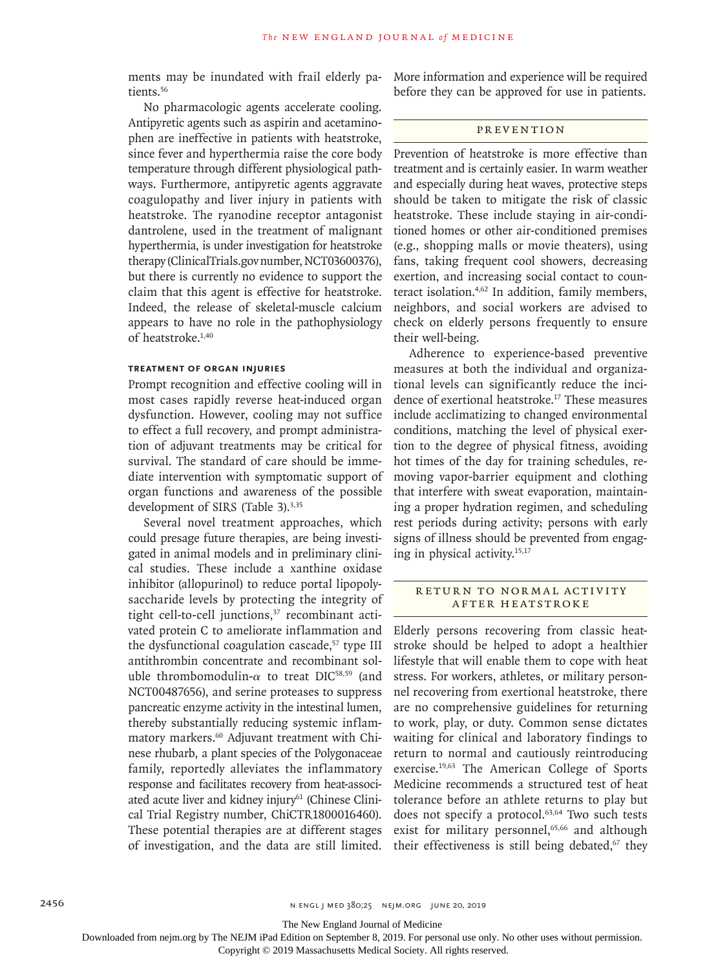ments may be inundated with frail elderly patients.<sup>56</sup>

No pharmacologic agents accelerate cooling. Antipyretic agents such as aspirin and acetaminophen are ineffective in patients with heatstroke, since fever and hyperthermia raise the core body temperature through different physiological pathways. Furthermore, antipyretic agents aggravate coagulopathy and liver injury in patients with heatstroke. The ryanodine receptor antagonist dantrolene, used in the treatment of malignant hyperthermia, is under investigation for heatstroke therapy (ClinicalTrials.gov number, NCT03600376), but there is currently no evidence to support the claim that this agent is effective for heatstroke. Indeed, the release of skeletal-muscle calcium appears to have no role in the pathophysiology of heatstroke.1,40

# **Treatment of Organ Injuries**

Prompt recognition and effective cooling will in most cases rapidly reverse heat-induced organ dysfunction. However, cooling may not suffice to effect a full recovery, and prompt administration of adjuvant treatments may be critical for survival. The standard of care should be immediate intervention with symptomatic support of organ functions and awareness of the possible development of SIRS (Table 3).<sup>3,35</sup>

Several novel treatment approaches, which could presage future therapies, are being investigated in animal models and in preliminary clinical studies. These include a xanthine oxidase inhibitor (allopurinol) to reduce portal lipopolysaccharide levels by protecting the integrity of tight cell-to-cell junctions,<sup>37</sup> recombinant activated protein C to ameliorate inflammation and the dysfunctional coagulation cascade,<sup>57</sup> type III antithrombin concentrate and recombinant soluble thrombomodulin- $\alpha$  to treat DIC<sup>58,59</sup> (and NCT00487656), and serine proteases to suppress pancreatic enzyme activity in the intestinal lumen, thereby substantially reducing systemic inflammatory markers.<sup>60</sup> Adjuvant treatment with Chinese rhubarb, a plant species of the Polygonaceae family, reportedly alleviates the inflammatory response and facilitates recovery from heat-associated acute liver and kidney injury<sup>61</sup> (Chinese Clinical Trial Registry number, ChiCTR1800016460). These potential therapies are at different stages of investigation, and the data are still limited. More information and experience will be required before they can be approved for use in patients.

## **PREVENTION**

Prevention of heatstroke is more effective than treatment and is certainly easier. In warm weather and especially during heat waves, protective steps should be taken to mitigate the risk of classic heatstroke. These include staying in air-conditioned homes or other air-conditioned premises (e.g., shopping malls or movie theaters), using fans, taking frequent cool showers, decreasing exertion, and increasing social contact to counteract isolation.4,62 In addition, family members, neighbors, and social workers are advised to check on elderly persons frequently to ensure their well-being.

Adherence to experience-based preventive measures at both the individual and organizational levels can significantly reduce the incidence of exertional heatstroke.17 These measures include acclimatizing to changed environmental conditions, matching the level of physical exertion to the degree of physical fitness, avoiding hot times of the day for training schedules, removing vapor-barrier equipment and clothing that interfere with sweat evaporation, maintaining a proper hydration regimen, and scheduling rest periods during activity; persons with early signs of illness should be prevented from engaging in physical activity.15,17

# RETURN TO NORMAL ACTIVITY after Heatstroke

Elderly persons recovering from classic heatstroke should be helped to adopt a healthier lifestyle that will enable them to cope with heat stress. For workers, athletes, or military personnel recovering from exertional heatstroke, there are no comprehensive guidelines for returning to work, play, or duty. Common sense dictates waiting for clinical and laboratory findings to return to normal and cautiously reintroducing exercise.19,63 The American College of Sports Medicine recommends a structured test of heat tolerance before an athlete returns to play but does not specify a protocol.<sup>63,64</sup> Two such tests exist for military personnel, $65,66$  and although their effectiveness is still being debated, $67$  they

The New England Journal of Medicine

Downloaded from nejm.org by The NEJM iPad Edition on September 8, 2019. For personal use only. No other uses without permission.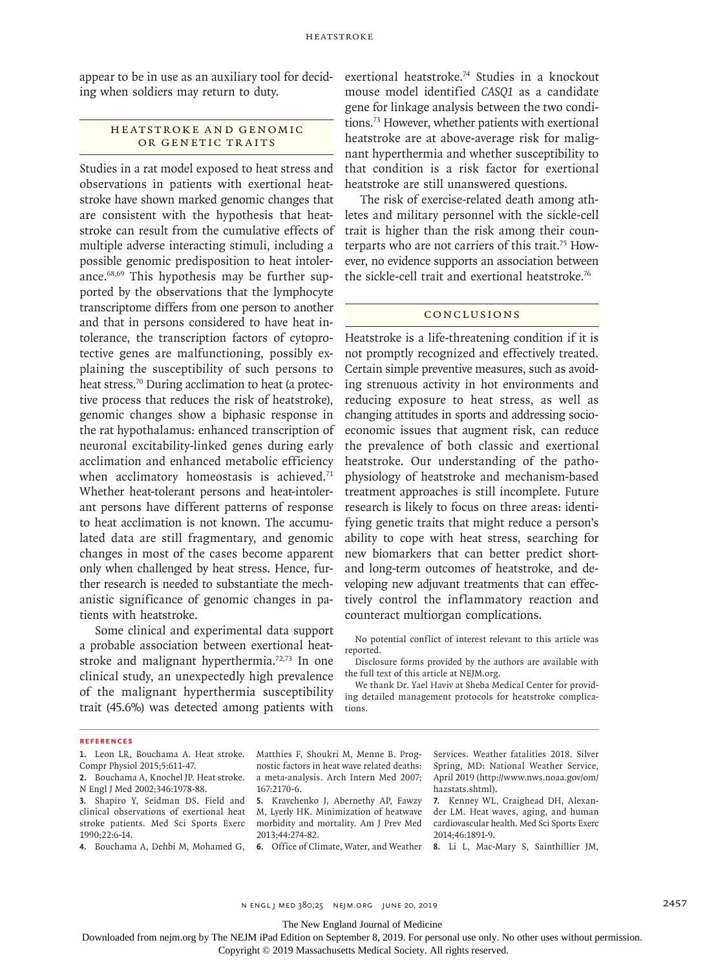appear to be in use as an auxiliary tool for deciding when soldiers may return to duty.

# HEATSTROKE AND GENOMIC OR GENETIC TRAITS

Studies in a rat model exposed to heat stress and observations in patients with exertional heatstroke have shown marked genomic changes that are consistent with the hypothesis that heatstroke can result from the cumulative effects of multiple adverse interacting stimuli, including a possible genomic predisposition to heat intolerance.68,69 This hypothesis may be further supported by the observations that the lymphocyte transcriptome differs from one person to another and that in persons considered to have heat intolerance, the transcription factors of cytoprotective genes are malfunctioning, possibly explaining the susceptibility of such persons to heat stress.<sup>70</sup> During acclimation to heat (a protective process that reduces the risk of heatstroke), genomic changes show a biphasic response in the rat hypothalamus: enhanced transcription of neuronal excitability-linked genes during early acclimation and enhanced metabolic efficiency when acclimatory homeostasis is achieved.<sup>71</sup> Whether heat-tolerant persons and heat-intolerant persons have different patterns of response to heat acclimation is not known. The accumulated data are still fragmentary, and genomic changes in most of the cases become apparent only when challenged by heat stress. Hence, further research is needed to substantiate the mechanistic significance of genomic changes in patients with heatstroke.

Some clinical and experimental data support a probable association between exertional heatstroke and malignant hyperthermia.<sup>72,73</sup> In one clinical study, an unexpectedly high prevalence of the malignant hyperthermia susceptibility trait (45.6%) was detected among patients with exertional heatstroke.74 Studies in a knockout mouse model identified *CASQ1* as a candidate gene for linkage analysis between the two conditions.73 However, whether patients with exertional heatstroke are at above-average risk for malignant hyperthermia and whether susceptibility to that condition is a risk factor for exertional heatstroke are still unanswered questions.

The risk of exercise-related death among athletes and military personnel with the sickle-cell trait is higher than the risk among their counterparts who are not carriers of this trait.75 However, no evidence supports an association between the sickle-cell trait and exertional heatstroke.<sup>76</sup>

## Conclusions

Heatstroke is a life-threatening condition if it is not promptly recognized and effectively treated. Certain simple preventive measures, such as avoiding strenuous activity in hot environments and reducing exposure to heat stress, as well as changing attitudes in sports and addressing socioeconomic issues that augment risk, can reduce the prevalence of both classic and exertional heatstroke. Our understanding of the pathophysiology of heatstroke and mechanism-based treatment approaches is still incomplete. Future research is likely to focus on three areas: identifying genetic traits that might reduce a person's ability to cope with heat stress, searching for new biomarkers that can better predict shortand long-term outcomes of heatstroke, and developing new adjuvant treatments that can effectively control the inflammatory reaction and counteract multiorgan complications.

No potential conflict of interest relevant to this article was reported.

Disclosure forms provided by the authors are available with the full text of this article at NEJM.org.

We thank Dr. Yael Haviv at Sheba Medical Center for providing detailed management protocols for heatstroke complications.

#### **References**

- **1.** Leon LR, Bouchama A. Heat stroke. Compr Physiol 2015;5:611-47.
- **2.** Bouchama A, Knochel JP. Heat stroke. N Engl J Med 2002;346:1978-88.

**3.** Shapiro Y, Seidman DS. Field and clinical observations of exertional heat stroke patients. Med Sci Sports Exerc  $1990:22:6-14.$ 

**4.** Bouchama A, Dehbi M, Mohamed G,

Matthies F, Shoukri M, Menne B. Prognostic factors in heat wave related deaths: a meta-analysis. Arch Intern Med 2007; 167:2170-6.

**5.** Kravchenko J, Abernethy AP, Fawzy M, Lyerly HK. Minimization of heatwave morbidity and mortality. Am J Prev Med 2013;44:274-82.

**6.** Office of Climate, Water, and Weather

Services. Weather fatalities 2018. Silver Spring, MD: National Weather Service, April 2019 (http://www.nws.noaa.gov/om/ hazstats.shtml).

**7.** Kenney WL, Craighead DH, Alexander LM. Heat waves, aging, and human cardiovascular health. Med Sci Sports Exerc 2014;46:1891-9.

**8.** Li L, Mac-Mary S, Sainthillier JM,

n engl j med 380;25 nejm.org June 20, 2019 2457

The New England Journal of Medicine

Downloaded from nejm.org by The NEJM iPad Edition on September 8, 2019. For personal use only. No other uses without permission.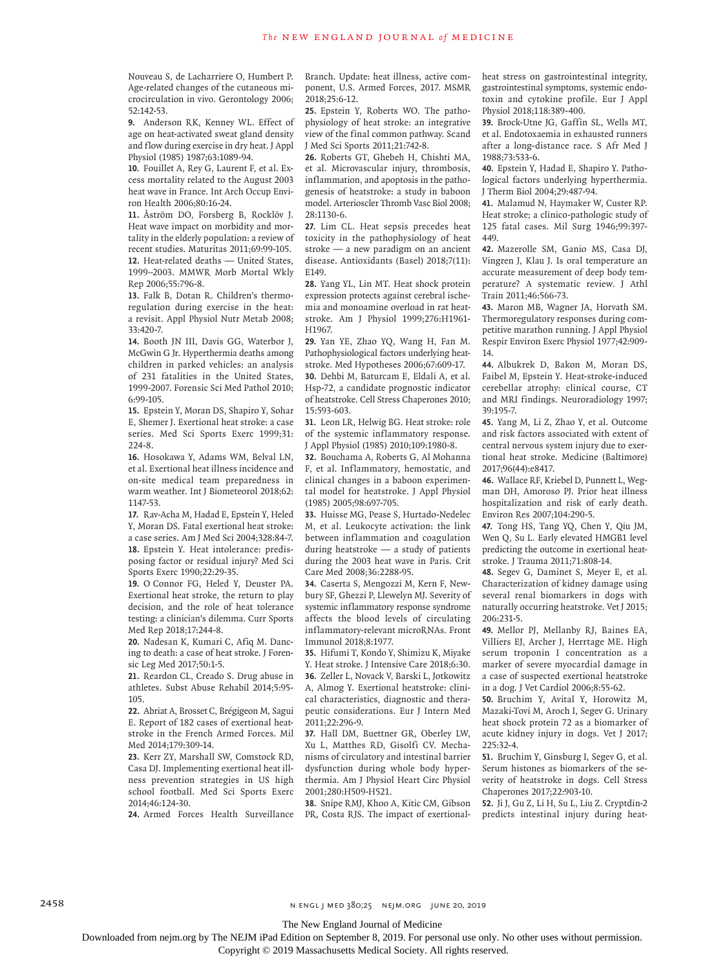Nouveau S, de Lacharriere O, Humbert P. Age-related changes of the cutaneous microcirculation in vivo. Gerontology 2006; 52:142-53.

**9.** Anderson RK, Kenney WL. Effect of age on heat-activated sweat gland density and flow during exercise in dry heat. J Appl Physiol (1985) 1987;63:1089-94.

**10.** Fouillet A, Rey G, Laurent F, et al. Excess mortality related to the August 2003 heat wave in France. Int Arch Occup Environ Health 2006;80:16-24.

**11.** Åström DO, Forsberg B, Rocklöv J. Heat wave impact on morbidity and mortality in the elderly population: a review of recent studies. Maturitas 2011;69:99-105. **12.** Heat-related deaths — United States, 1999–2003. MMWR Morb Mortal Wkly Rep 2006;55:796-8.

**13.** Falk B, Dotan R. Children's thermoregulation during exercise in the heat: a revisit. Appl Physiol Nutr Metab 2008; 33:420-7.

**14.** Booth JN III, Davis GG, Waterbor J, McGwin G Jr. Hyperthermia deaths among children in parked vehicles: an analysis of 231 fatalities in the United States, 1999-2007. Forensic Sci Med Pathol 2010; 6:99-105.

**15.** Epstein Y, Moran DS, Shapiro Y, Sohar E, Shemer J. Exertional heat stroke: a case series. Med Sci Sports Exerc 1999;31: 224-8.

**16.** Hosokawa Y, Adams WM, Belval LN, et al. Exertional heat illness incidence and on-site medical team preparedness in warm weather. Int J Biometeorol 2018;62: 1147-53.

**17.** Rav-Acha M, Hadad E, Epstein Y, Heled Y, Moran DS. Fatal exertional heat stroke: a case series. Am J Med Sci 2004;328:84-7. **18.** Epstein Y. Heat intolerance: predisposing factor or residual injury? Med Sci Sports Exerc 1990;22:29-35.

**19.** O'Connor FG, Heled Y, Deuster PA. Exertional heat stroke, the return to play decision, and the role of heat tolerance testing: a clinician's dilemma. Curr Sports Med Rep 2018;17:244-8.

**20.** Nadesan K, Kumari C, Afiq M. Dancing to death: a case of heat stroke. J Forensic Leg Med 2017;50:1-5.

**21.** Reardon CL, Creado S. Drug abuse in athletes. Subst Abuse Rehabil 2014;5:95- 105.

**22.** Abriat A, Brosset C, Brégigeon M, Sagui E. Report of 182 cases of exertional heatstroke in the French Armed Forces. Mil Med 2014;179:309-14.

**23.** Kerr ZY, Marshall SW, Comstock RD, Casa DJ. Implementing exertional heat illness prevention strategies in US high school football. Med Sci Sports Exerc 2014;46:124-30.

Branch. Update: heat illness, active component, U.S. Armed Forces, 2017. MSMR 2018;25:6-12.

**25.** Epstein Y, Roberts WO. The pathophysiology of heat stroke: an integrative view of the final common pathway. Scand J Med Sci Sports 2011;21:742-8.

**26.** Roberts GT, Ghebeh H, Chishti MA, et al. Microvascular injury, thrombosis, inflammation, and apoptosis in the pathogenesis of heatstroke: a study in baboon model. Arterioscler Thromb Vasc Biol 2008; 28:1130-6.

**27.** Lim CL. Heat sepsis precedes heat toxicity in the pathophysiology of heat stroke — a new paradigm on an ancient disease. Antioxidants (Basel) 2018;7(11): E149.

**28.** Yang YL, Lin MT. Heat shock protein expression protects against cerebral ischemia and monoamine overload in rat heatstroke. Am J Physiol 1999;276:H1961- H1967.

**29.** Yan YE, Zhao YQ, Wang H, Fan M. Pathophysiological factors underlying heatstroke. Med Hypotheses 2006;67:609-17. **30.** Dehbi M, Baturcam E, Eldali A, et al. Hsp-72, a candidate prognostic indicator of heatstroke. Cell Stress Chaperones 2010; 15:593-603.

**31.** Leon LR, Helwig BG. Heat stroke: role of the systemic inflammatory response. J Appl Physiol (1985) 2010;109:1980-8.

**32.** Bouchama A, Roberts G, Al Mohanna F, et al. Inflammatory, hemostatic, and clinical changes in a baboon experimental model for heatstroke. J Appl Physiol (1985) 2005;98:697-705.

**33.** Huisse MG, Pease S, Hurtado-Nedelec M, et al. Leukocyte activation: the link between inflammation and coagulation during heatstroke — a study of patients during the 2003 heat wave in Paris. Crit Care Med 2008;36:2288-95.

**34.** Caserta S, Mengozzi M, Kern F, Newbury SF, Ghezzi P, Llewelyn MJ. Severity of systemic inflammatory response syndrome affects the blood levels of circulating inflammatory-relevant microRNAs. Front Immunol 2018;8:1977.

**35.** Hifumi T, Kondo Y, Shimizu K, Miyake Y. Heat stroke. J Intensive Care 2018;6:30. **36.** Zeller L, Novack V, Barski L, Jotkowitz A, Almog Y. Exertional heatstroke: clinical characteristics, diagnostic and therapeutic considerations. Eur J Intern Med 2011;22:296-9.

**37.** Hall DM, Buettner GR, Oberley LW, Xu L, Matthes RD, Gisolfi CV. Mechanisms of circulatory and intestinal barrier dysfunction during whole body hyperthermia. Am J Physiol Heart Circ Physiol 2001;280:H509-H521.

**24.** Armed Forces Health Surveillance PR, Costa RJS. The impact of exertional-**38.** Snipe RMJ, Khoo A, Kitic CM, Gibson heat stress on gastrointestinal integrity, gastrointestinal symptoms, systemic endotoxin and cytokine profile. Eur J Appl Physiol 2018;118:389-400.

**39.** Brock-Utne JG, Gaffin SL, Wells MT, et al. Endotoxaemia in exhausted runners after a long-distance race. S Afr Med J 1988;73:533-6.

**40.** Epstein Y, Hadad E, Shapiro Y. Pathological factors underlying hyperthermia. J Therm Biol 2004;29:487-94.

**41.** Malamud N, Haymaker W, Custer RP. Heat stroke; a clinico-pathologic study of 125 fatal cases. Mil Surg 1946;99:397- 449.

**42.** Mazerolle SM, Ganio MS, Casa DJ, Vingren J, Klau J. Is oral temperature an accurate measurement of deep body temperature? A systematic review. J Athl Train 2011;46:566-73.

**43.** Maron MB, Wagner JA, Horvath SM. Thermoregulatory responses during competitive marathon running. J Appl Physiol Respir Environ Exerc Physiol 1977;42:909- 14.

**44.** Albukrek D, Bakon M, Moran DS, Faibel M, Epstein Y. Heat-stroke-induced cerebellar atrophy: clinical course, CT and MRI findings. Neuroradiology 1997; 39:195-7.

**45.** Yang M, Li Z, Zhao Y, et al. Outcome and risk factors associated with extent of central nervous system injury due to exertional heat stroke. Medicine (Baltimore) 2017;96(44):e8417.

**46.** Wallace RF, Kriebel D, Punnett L, Wegman DH, Amoroso PJ. Prior heat illness hospitalization and risk of early death. Environ Res 2007;104:290-5.

**47.** Tong HS, Tang YQ, Chen Y, Qiu JM, Wen Q, Su L. Early elevated HMGB1 level predicting the outcome in exertional heatstroke. J Trauma 2011;71:808-14.

**48.** Segev G, Daminet S, Meyer E, et al. Characterization of kidney damage using several renal biomarkers in dogs with naturally occurring heatstroke. Vet J 2015; 206:231-5.

**49.** Mellor PJ, Mellanby RJ, Baines EA, Villiers EJ, Archer J, Herrtage ME. High serum troponin I concentration as a marker of severe myocardial damage in a case of suspected exertional heatstroke in a dog. J Vet Cardiol 2006;8:55-62.

**50.** Bruchim Y, Avital Y, Horowitz M, Mazaki-Tovi M, Aroch I, Segev G. Urinary heat shock protein 72 as a biomarker of acute kidney injury in dogs. Vet J 2017; 225:32-4.

**51.** Bruchim Y, Ginsburg I, Segev G, et al. Serum histones as biomarkers of the severity of heatstroke in dogs. Cell Stress Chaperones 2017;22:903-10.

**52.** Ji J, Gu Z, Li H, Su L, Liu Z. Cryptdin-2 predicts intestinal injury during heat-

2458 2458 n engl j med 380;25 nejm.org June 20, 2019

The New England Journal of Medicine

Downloaded from nejm.org by The NEJM iPad Edition on September 8, 2019. For personal use only. No other uses without permission.